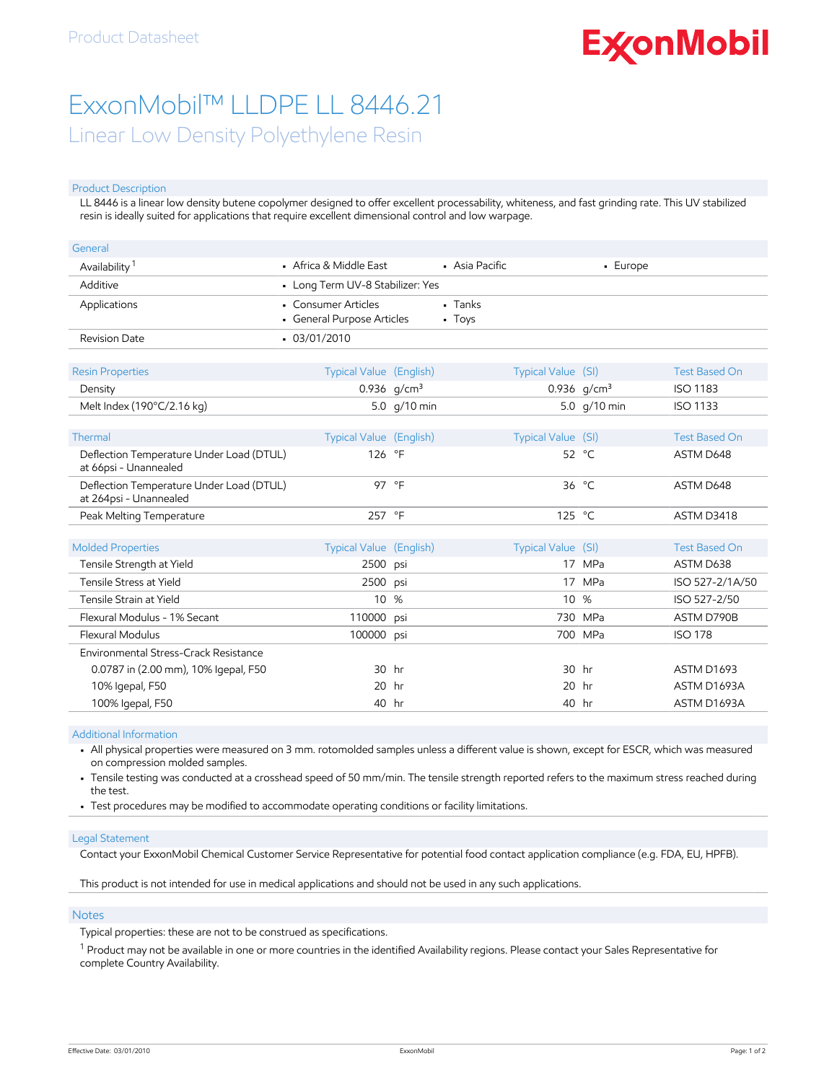# **ExconMobil**

## ExxonMobil™ LLDPE LL 8446.21

Linear Low Density Polyethylene Resin

#### Product Description

LL 8446 is a linear low density butene copolymer designed to offer excellent processability, whiteness, and fast grinding rate. This UV stabilized resin is ideally suited for applications that require excellent dimensional control and low warpage.

| General                                                            |                                                   |                |                       |                    |                |                      |
|--------------------------------------------------------------------|---------------------------------------------------|----------------|-----------------------|--------------------|----------------|----------------------|
| Availability <sup>1</sup>                                          | • Africa & Middle East                            |                | • Asia Pacific        |                    | - Europe       |                      |
| Additive                                                           | • Long Term UV-8 Stabilizer: Yes                  |                |                       |                    |                |                      |
| Applications                                                       | • Consumer Articles<br>• General Purpose Articles |                | $-$ Tanks<br>$-$ Toys |                    |                |                      |
| Revision Date                                                      | $-03/01/2010$                                     |                |                       |                    |                |                      |
|                                                                    |                                                   |                |                       |                    |                |                      |
| <b>Resin Properties</b>                                            | <b>Typical Value (English)</b>                    |                |                       | Typical Value (SI) |                | <b>Test Based On</b> |
| Density                                                            |                                                   | 0.936 $q/cm^3$ |                       |                    | 0.936 $q/cm^3$ | <b>ISO 1183</b>      |
| Melt Index (190°C/2.16 kg)                                         |                                                   | 5.0 g/10 min   |                       |                    | 5.0 g/10 min   | <b>ISO 1133</b>      |
|                                                                    |                                                   |                |                       |                    |                |                      |
| Thermal                                                            | Typical Value (English)                           |                |                       | Typical Value (SI) |                | <b>Test Based On</b> |
| Deflection Temperature Under Load (DTUL)<br>at 66psi - Unannealed  | 126 °F                                            |                |                       |                    | 52 °C          | ASTM D648            |
| Deflection Temperature Under Load (DTUL)<br>at 264psi - Unannealed | 97 °F                                             |                |                       |                    | 36 $°C$        | ASTM D648            |
| Peak Melting Temperature                                           | 257 °F                                            |                |                       | 125 °C             |                | ASTM D3418           |
|                                                                    |                                                   |                |                       |                    |                |                      |
| <b>Molded Properties</b>                                           | <b>Typical Value (English)</b>                    |                |                       | Typical Value (SI) |                | <b>Test Based On</b> |
| Tensile Strength at Yield                                          | 2500 psi                                          |                |                       |                    | 17 MPa         | ASTM D638            |
| Tensile Stress at Yield                                            | 2500                                              | psi            |                       |                    | 17 MPa         | ISO 527-2/1A/50      |
| Tensile Strain at Yield                                            | 10 <sup>°</sup>                                   | %              |                       | 10                 | %              | ISO 527-2/50         |
| Flexural Modulus - 1% Secant                                       | 110000                                            | psi            |                       | 730                | <b>MPa</b>     | ASTM D790B           |
| Flexural Modulus                                                   | 100000 psi                                        |                |                       |                    | 700 MPa        | <b>ISO 178</b>       |
| Environmental Stress-Crack Resistance                              |                                                   |                |                       |                    |                |                      |
| 0.0787 in (2.00 mm), 10% Igepal, F50                               | 30 hr                                             |                |                       | 30 hr              |                | ASTM D1693           |
| 10% Igepal, F50                                                    | 20                                                | hr             |                       | 20                 | hr             | ASTM D1693A          |
| 100% Igepal, F50                                                   | 40 hr                                             |                |                       | 40 hr              |                | ASTM D1693A          |

Additional Information

• All physical properties were measured on 3 mm. rotomolded samples unless a different value is shown, except for ESCR, which was measured on compression molded samples.

• Tensile testing was conducted at a crosshead speed of 50 mm/min. The tensile strength reported refers to the maximum stress reached during the test.

• Test procedures may be modified to accommodate operating conditions or facility limitations.

#### Legal Statement

Contact your ExxonMobil Chemical Customer Service Representative for potential food contact application compliance (e.g. FDA, EU, HPFB).

This product is not intended for use in medical applications and should not be used in any such applications.

#### **Notes**

Typical properties: these are not to be construed as specifications.

 $^{\rm 1}$  Product may not be available in one or more countries in the identified Availability regions. Please contact your Sales Representative for complete Country Availability.